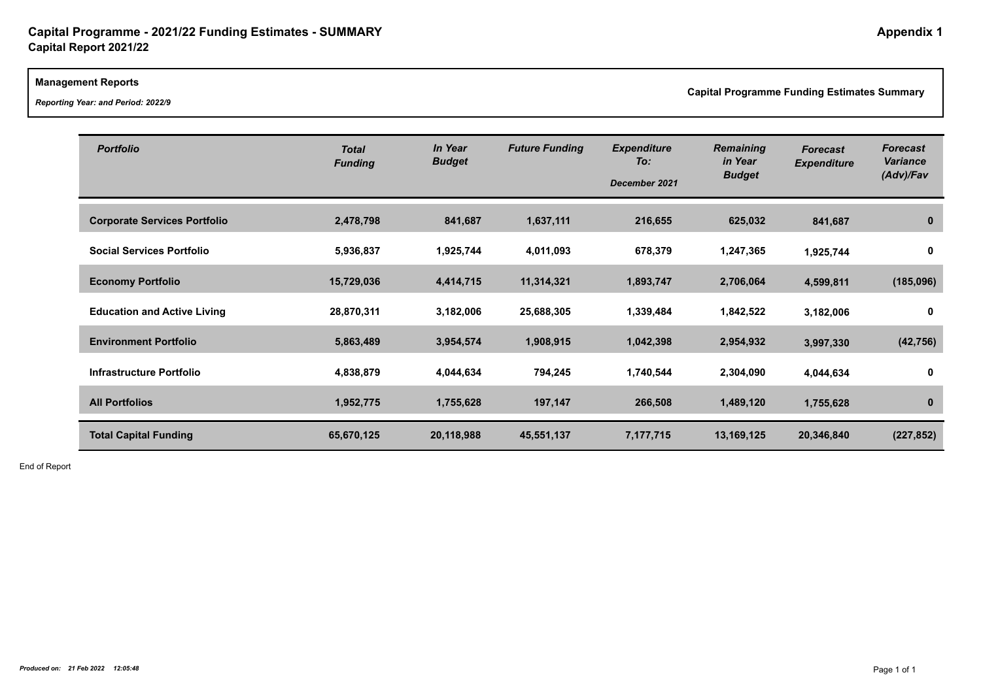### **Management Reports**

*Reporting Year: and Period: 2022/9*

**Capital Programme Funding Estimates Summary**

| Canital Programmo Funding Estin |
|---------------------------------|
|                                 |
|                                 |

| <b>Portfolio</b>                    | <b>Total</b><br><b>Funding</b> | <b>In Year</b><br><b>Budget</b> | <b>Future Funding</b> | <b>Expenditure</b><br>To:<br>December 2021 | <b>Remaining</b><br>in Year<br><b>Budget</b> | <b>Forecast</b><br><b>Expenditure</b> | <b>Forecast</b><br><b>Variance</b><br>(Adv)/Fav |
|-------------------------------------|--------------------------------|---------------------------------|-----------------------|--------------------------------------------|----------------------------------------------|---------------------------------------|-------------------------------------------------|
| <b>Corporate Services Portfolio</b> | 2,478,798                      | 841,687                         | 1,637,111             | 216,655                                    | 625,032                                      | 841,687                               | 0                                               |
| <b>Social Services Portfolio</b>    | 5,936,837                      | 1,925,744                       | 4,011,093             | 678,379                                    | 1,247,365                                    | 1,925,744                             | 0                                               |
| <b>Economy Portfolio</b>            | 15,729,036                     | 4,414,715                       | 11,314,321            | 1,893,747                                  | 2,706,064                                    | 4,599,811                             | (185, 096)                                      |
| <b>Education and Active Living</b>  | 28,870,311                     | 3,182,006                       | 25,688,305            | 1,339,484                                  | 1,842,522                                    | 3,182,006                             | 0                                               |
| <b>Environment Portfolio</b>        | 5,863,489                      | 3,954,574                       | 1,908,915             | 1,042,398                                  | 2,954,932                                    | 3,997,330                             | (42, 756)                                       |
| Infrastructure Portfolio            | 4,838,879                      | 4,044,634                       | 794,245               | 1,740,544                                  | 2,304,090                                    | 4,044,634                             | 0                                               |
| <b>All Portfolios</b>               | 1,952,775                      | 1,755,628                       | 197,147               | 266,508                                    | 1,489,120                                    | 1,755,628                             | $\bf{0}$                                        |
| <b>Total Capital Funding</b>        | 65,670,125                     | 20,118,988                      | 45,551,137            | 7,177,715                                  | 13,169,125                                   | 20,346,840                            | (227, 852)                                      |

End of Report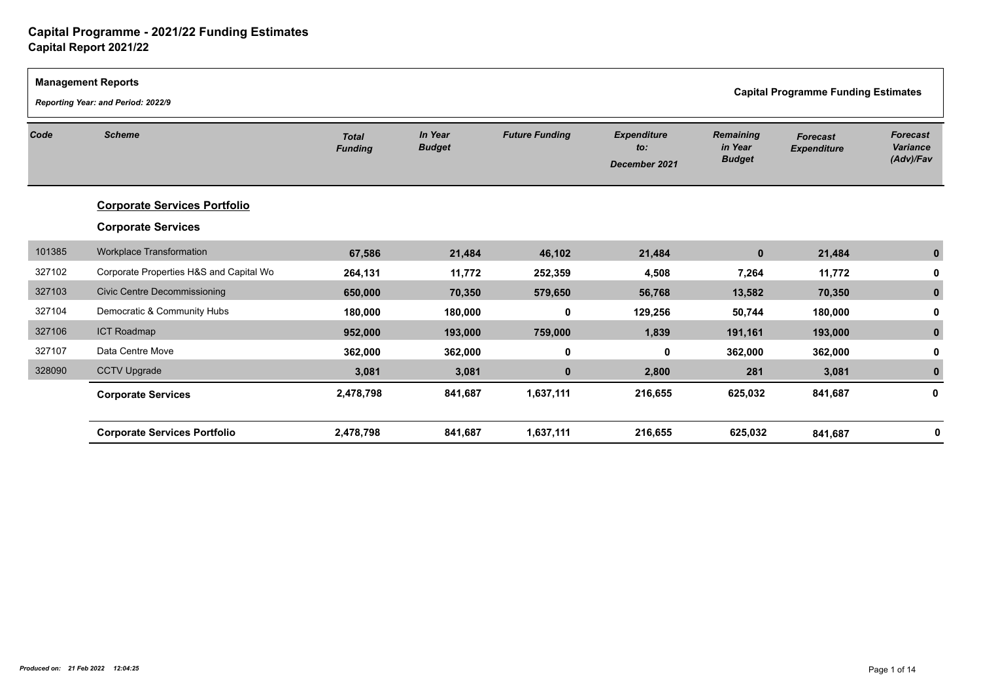| <b>Management Reports</b> | Reporting Year: and Period: 2022/9      |                                |                          |                       |                                            | <b>Capital Programme Funding Estimates</b>   |                                       |                                                 |  |
|---------------------------|-----------------------------------------|--------------------------------|--------------------------|-----------------------|--------------------------------------------|----------------------------------------------|---------------------------------------|-------------------------------------------------|--|
| Code                      | <b>Scheme</b>                           | <b>Total</b><br><b>Funding</b> | In Year<br><b>Budget</b> | <b>Future Funding</b> | <b>Expenditure</b><br>to:<br>December 2021 | <b>Remaining</b><br>in Year<br><b>Budget</b> | <b>Forecast</b><br><b>Expenditure</b> | <b>Forecast</b><br><b>Variance</b><br>(Adv)/Fav |  |
|                           | <b>Corporate Services Portfolio</b>     |                                |                          |                       |                                            |                                              |                                       |                                                 |  |
|                           | <b>Corporate Services</b>               |                                |                          |                       |                                            |                                              |                                       |                                                 |  |
| 101385                    | Workplace Transformation                | 67,586                         | 21,484                   | 46,102                | 21,484                                     | $\mathbf{0}$                                 | 21,484                                |                                                 |  |
| 327102                    | Corporate Properties H&S and Capital Wo | 264,131                        | 11,772                   | 252,359               | 4,508                                      | 7,264                                        | 11,772                                |                                                 |  |
| 327103                    | <b>Civic Centre Decommissioning</b>     | 650,000                        | 70,350                   | 579,650               | 56,768                                     | 13,582                                       | 70,350                                |                                                 |  |
| 327104                    | Democratic & Community Hubs             | 180,000                        | 180,000                  | 0                     | 129,256                                    | 50,744                                       | 180,000                               |                                                 |  |
| 327106                    | <b>ICT Roadmap</b>                      | 952,000                        | 193,000                  | 759,000               | 1,839                                      | 191,161                                      | 193,000                               |                                                 |  |
| 327107                    | Data Centre Move                        | 362,000                        | 362,000                  | 0                     | 0                                          | 362,000                                      | 362,000                               |                                                 |  |
| 328090                    | <b>CCTV Upgrade</b>                     | 3,081                          | 3,081                    | $\bf{0}$              | 2,800                                      | 281                                          | 3,081                                 |                                                 |  |
|                           | <b>Corporate Services</b>               | 2,478,798                      | 841,687                  | 1,637,111             | 216,655                                    | 625,032                                      | 841,687                               | 0                                               |  |
|                           | <b>Corporate Services Portfolio</b>     | 2,478,798                      | 841,687                  | 1,637,111             | 216,655                                    | 625,032                                      | 841,687                               | 0                                               |  |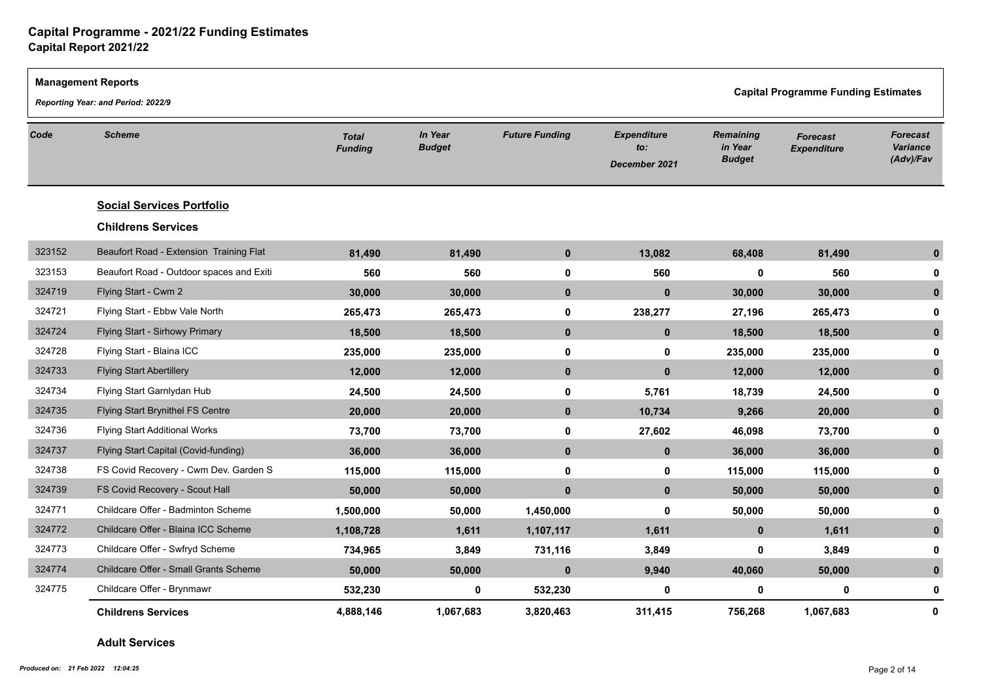|        | <b>Management Reports</b><br>Reporting Year: and Period: 2022/9 |                                |                          |                       |                                            |                                              | <b>Capital Programme Funding Estimates</b> |                                          |
|--------|-----------------------------------------------------------------|--------------------------------|--------------------------|-----------------------|--------------------------------------------|----------------------------------------------|--------------------------------------------|------------------------------------------|
| Code   | <b>Scheme</b>                                                   | <b>Total</b><br><b>Funding</b> | In Year<br><b>Budget</b> | <b>Future Funding</b> | <b>Expenditure</b><br>to:<br>December 2021 | <b>Remaining</b><br>in Year<br><b>Budget</b> | <b>Forecast</b><br><b>Expenditure</b>      | <b>Forecast</b><br>Variance<br>(Adv)/Fav |
|        | <b>Social Services Portfolio</b>                                |                                |                          |                       |                                            |                                              |                                            |                                          |
|        | <b>Childrens Services</b>                                       |                                |                          |                       |                                            |                                              |                                            |                                          |
| 323152 | Beaufort Road - Extension Training Flat                         | 81,490                         | 81,490                   | $\mathbf 0$           | 13,082                                     | 68,408                                       | 81,490                                     | $\mathbf{0}$                             |
| 323153 | Beaufort Road - Outdoor spaces and Exiti                        | 560                            | 560                      | 0                     | 560                                        | $\mathbf 0$                                  | 560                                        |                                          |
| 324719 | Flying Start - Cwm 2                                            | 30,000                         | 30,000                   | $\mathbf{0}$          | $\mathbf{0}$                               | 30,000                                       | 30,000                                     | $\bf{0}$                                 |
| 324721 | Flying Start - Ebbw Vale North                                  | 265,473                        | 265,473                  | 0                     | 238,277                                    | 27,196                                       | 265,473                                    | 0                                        |
| 324724 | Flying Start - Sirhowy Primary                                  | 18,500                         | 18,500                   | $\mathbf 0$           | $\mathbf 0$                                | 18,500                                       | 18,500                                     | $\mathbf{0}$                             |
| 324728 | Flying Start - Blaina ICC                                       | 235,000                        | 235,000                  | $\mathbf 0$           | 0                                          | 235,000                                      | 235,000                                    | O                                        |
| 324733 | <b>Flying Start Abertillery</b>                                 | 12,000                         | 12,000                   | $\mathbf 0$           | $\mathbf 0$                                | 12,000                                       | 12,000                                     | 0                                        |
| 324734 | Flying Start Garnlydan Hub                                      | 24,500                         | 24,500                   | 0                     | 5,761                                      | 18,739                                       | 24,500                                     |                                          |
| 324735 | Flying Start Brynithel FS Centre                                | 20,000                         | 20,000                   | $\mathbf 0$           | 10,734                                     | 9,266                                        | 20,000                                     | $\bf{0}$                                 |
| 324736 | <b>Flying Start Additional Works</b>                            | 73,700                         | 73,700                   | 0                     | 27,602                                     | 46,098                                       | 73,700                                     |                                          |
| 324737 | Flying Start Capital (Covid-funding)                            | 36,000                         | 36,000                   | $\mathbf 0$           | $\mathbf 0$                                | 36,000                                       | 36,000                                     | $\bf{0}$                                 |
| 324738 | FS Covid Recovery - Cwm Dev. Garden S                           | 115,000                        | 115,000                  | 0                     | 0                                          | 115,000                                      | 115,000                                    | 0                                        |
| 324739 | FS Covid Recovery - Scout Hall                                  | 50,000                         | 50,000                   | $\mathbf{0}$          | $\mathbf{0}$                               | 50,000                                       | 50,000                                     | $\bf{0}$                                 |
| 324771 | Childcare Offer - Badminton Scheme                              | 1,500,000                      | 50,000                   | 1,450,000             | 0                                          | 50,000                                       | 50,000                                     | 0                                        |
| 324772 | Childcare Offer - Blaina ICC Scheme                             | 1,108,728                      | 1,611                    | 1,107,117             | 1,611                                      | $\mathbf{0}$                                 | 1,611                                      | $\mathbf{0}$                             |
| 324773 | Childcare Offer - Swfryd Scheme                                 | 734,965                        | 3,849                    | 731,116               | 3,849                                      | 0                                            | 3,849                                      |                                          |
| 324774 | Childcare Offer - Small Grants Scheme                           | 50,000                         | 50,000                   | $\mathbf 0$           | 9,940                                      | 40,060                                       | 50,000                                     | $\mathbf{0}$                             |
| 324775 | Childcare Offer - Brynmawr                                      | 532,230                        | $\mathbf 0$              | 532,230               | $\mathbf{0}$                               | $\mathbf 0$                                  | 0                                          | 0                                        |
|        | <b>Childrens Services</b>                                       | 4,888,146                      | 1,067,683                | 3,820,463             | 311,415                                    | 756,268                                      | 1,067,683                                  | $\mathbf{0}$                             |

### **Adult Services**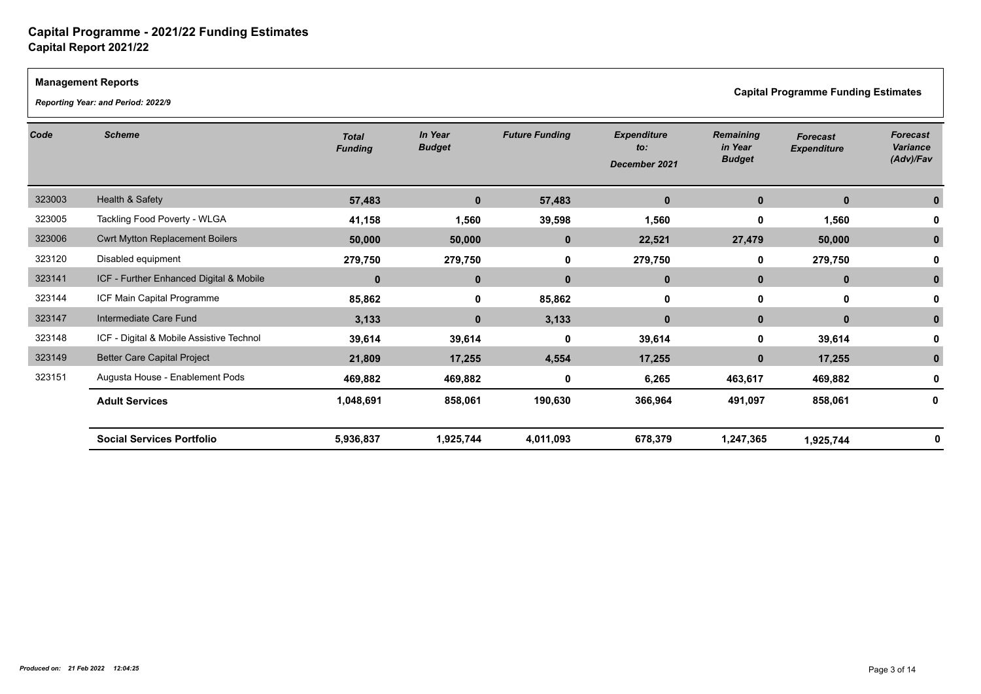### **Management Reports**

*Reporting Year: and Period: 2022/9*

**Capital Programme Funding Estimates** 

| Code   | <b>Scheme</b>                            | <b>Total</b><br><b>Funding</b> | In Year<br><b>Budget</b> | <b>Future Funding</b> | <b>Expenditure</b><br>to:<br>December 2021 | <b>Remaining</b><br>in Year<br><b>Budget</b> | <b>Forecast</b><br><b>Expenditure</b> | <b>Forecast</b><br>Variance<br>(Adv)/Fav |
|--------|------------------------------------------|--------------------------------|--------------------------|-----------------------|--------------------------------------------|----------------------------------------------|---------------------------------------|------------------------------------------|
| 323003 | Health & Safety                          | 57,483                         | $\bf{0}$                 | 57,483                | $\mathbf{0}$                               | $\mathbf 0$                                  | $\mathbf 0$                           |                                          |
| 323005 | Tackling Food Poverty - WLGA             | 41,158                         | 1,560                    | 39,598                | 1,560                                      | $\mathbf 0$                                  | 1,560                                 |                                          |
| 323006 | <b>Cwrt Mytton Replacement Boilers</b>   | 50,000                         | 50,000                   | $\mathbf 0$           | 22,521                                     | 27,479                                       | 50,000                                |                                          |
| 323120 | Disabled equipment                       | 279,750                        | 279,750                  | 0                     | 279,750                                    | 0                                            | 279,750                               |                                          |
| 323141 | ICF - Further Enhanced Digital & Mobile  | $\mathbf 0$                    | $\mathbf 0$              | $\mathbf 0$           | $\mathbf{0}$                               | $\mathbf{0}$                                 | $\mathbf 0$                           |                                          |
| 323144 | ICF Main Capital Programme               | 85,862                         | 0                        | 85,862                | $\mathbf 0$                                | 0                                            | $\mathbf 0$                           |                                          |
| 323147 | Intermediate Care Fund                   | 3,133                          | $\mathbf{0}$             | 3,133                 | $\mathbf{0}$                               | $\mathbf{0}$                                 | $\mathbf{0}$                          |                                          |
| 323148 | ICF - Digital & Mobile Assistive Technol | 39,614                         | 39,614                   | 0                     | 39,614                                     | 0                                            | 39,614                                |                                          |
| 323149 | <b>Better Care Capital Project</b>       | 21,809                         | 17,255                   | 4,554                 | 17,255                                     | $\bf{0}$                                     | 17,255                                |                                          |
| 323151 | Augusta House - Enablement Pods          | 469,882                        | 469,882                  | 0                     | 6,265                                      | 463,617                                      | 469,882                               |                                          |
|        | <b>Adult Services</b>                    | 1,048,691                      | 858,061                  | 190,630               | 366,964                                    | 491,097                                      | 858,061                               | 0                                        |
|        | <b>Social Services Portfolio</b>         | 5,936,837                      | 1,925,744                | 4,011,093             | 678,379                                    | 1,247,365                                    | 1,925,744                             |                                          |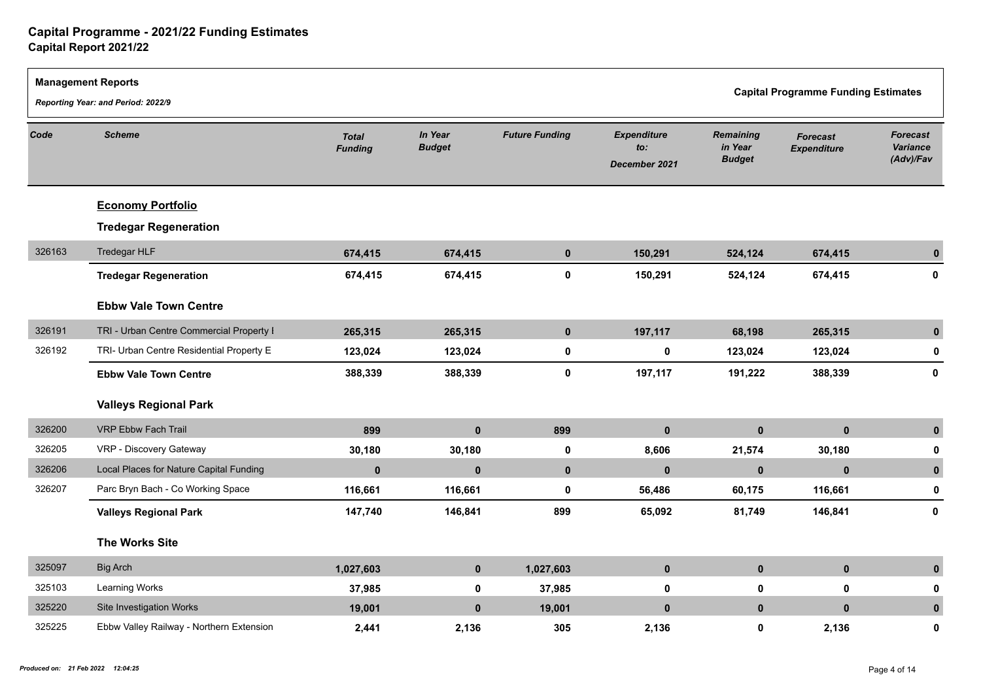|        | <b>Management Reports</b><br>Reporting Year: and Period: 2022/9 |                                |                                 |                       |                                            |                                              | <b>Capital Programme Funding Estimates</b> |                                          |  |
|--------|-----------------------------------------------------------------|--------------------------------|---------------------------------|-----------------------|--------------------------------------------|----------------------------------------------|--------------------------------------------|------------------------------------------|--|
| Code   | <b>Scheme</b>                                                   | <b>Total</b><br><b>Funding</b> | <b>In Year</b><br><b>Budget</b> | <b>Future Funding</b> | <b>Expenditure</b><br>to:<br>December 2021 | <b>Remaining</b><br>in Year<br><b>Budget</b> | <b>Forecast</b><br><b>Expenditure</b>      | <b>Forecast</b><br>Variance<br>(Adv)/Fav |  |
|        | <b>Economy Portfolio</b>                                        |                                |                                 |                       |                                            |                                              |                                            |                                          |  |
|        | <b>Tredegar Regeneration</b>                                    |                                |                                 |                       |                                            |                                              |                                            |                                          |  |
| 326163 | Tredegar HLF                                                    | 674,415                        | 674,415                         | $\mathbf{0}$          | 150,291                                    | 524,124                                      | 674,415                                    | $\mathbf{0}$                             |  |
|        | <b>Tredegar Regeneration</b>                                    | 674,415                        | 674,415                         | $\mathbf 0$           | 150,291                                    | 524,124                                      | 674,415                                    | 0                                        |  |
|        | <b>Ebbw Vale Town Centre</b>                                    |                                |                                 |                       |                                            |                                              |                                            |                                          |  |
| 326191 | TRI - Urban Centre Commercial Property I                        | 265,315                        | 265,315                         | $\mathbf 0$           | 197,117                                    | 68,198                                       | 265,315                                    | $\mathbf 0$                              |  |
| 326192 | TRI- Urban Centre Residential Property E                        | 123,024                        | 123,024                         | $\mathbf 0$           | $\mathbf 0$                                | 123,024                                      | 123,024                                    | 0                                        |  |
|        | <b>Ebbw Vale Town Centre</b>                                    | 388,339                        | 388,339                         | $\mathbf 0$           | 197,117                                    | 191,222                                      | 388,339                                    | $\mathbf{0}$                             |  |
|        | <b>Valleys Regional Park</b>                                    |                                |                                 |                       |                                            |                                              |                                            |                                          |  |
| 326200 | VRP Ebbw Fach Trail                                             | 899                            | $\mathbf{0}$                    | 899                   | $\mathbf{0}$                               | $\mathbf{0}$                                 | $\mathbf{0}$                               | $\mathbf{0}$                             |  |
| 326205 | VRP - Discovery Gateway                                         | 30,180                         | 30,180                          | $\mathbf 0$           | 8,606                                      | 21,574                                       | 30,180                                     | 0                                        |  |
| 326206 | Local Places for Nature Capital Funding                         | $\mathbf 0$                    | $\mathbf{0}$                    | $\mathbf 0$           | $\bf{0}$                                   | $\bf{0}$                                     | $\mathbf 0$                                | $\bf{0}$                                 |  |
| 326207 | Parc Bryn Bach - Co Working Space                               | 116,661                        | 116,661                         | $\mathbf 0$           | 56,486                                     | 60,175                                       | 116,661                                    | $\mathbf 0$                              |  |
|        | <b>Valleys Regional Park</b>                                    | 147,740                        | 146,841                         | 899                   | 65,092                                     | 81,749                                       | 146,841                                    | $\mathbf 0$                              |  |
|        | <b>The Works Site</b>                                           |                                |                                 |                       |                                            |                                              |                                            |                                          |  |
| 325097 | <b>Big Arch</b>                                                 | 1,027,603                      | $\mathbf{0}$                    | 1,027,603             | $\mathbf{0}$                               | $\mathbf{0}$                                 | $\mathbf 0$                                | $\mathbf{0}$                             |  |
| 325103 | Learning Works                                                  | 37,985                         | $\mathbf 0$                     | 37,985                | $\mathbf 0$                                | $\mathbf 0$                                  | $\mathbf 0$                                | O                                        |  |
| 325220 | Site Investigation Works                                        | 19,001                         | $\mathbf 0$                     | 19,001                | $\mathbf{0}$                               | $\mathbf 0$                                  | $\mathbf{0}$                               | $\mathbf{0}$                             |  |
| 325225 | Ebbw Valley Railway - Northern Extension                        | 2,441                          | 2,136                           | 305                   | 2,136                                      | 0                                            | 2,136                                      | O                                        |  |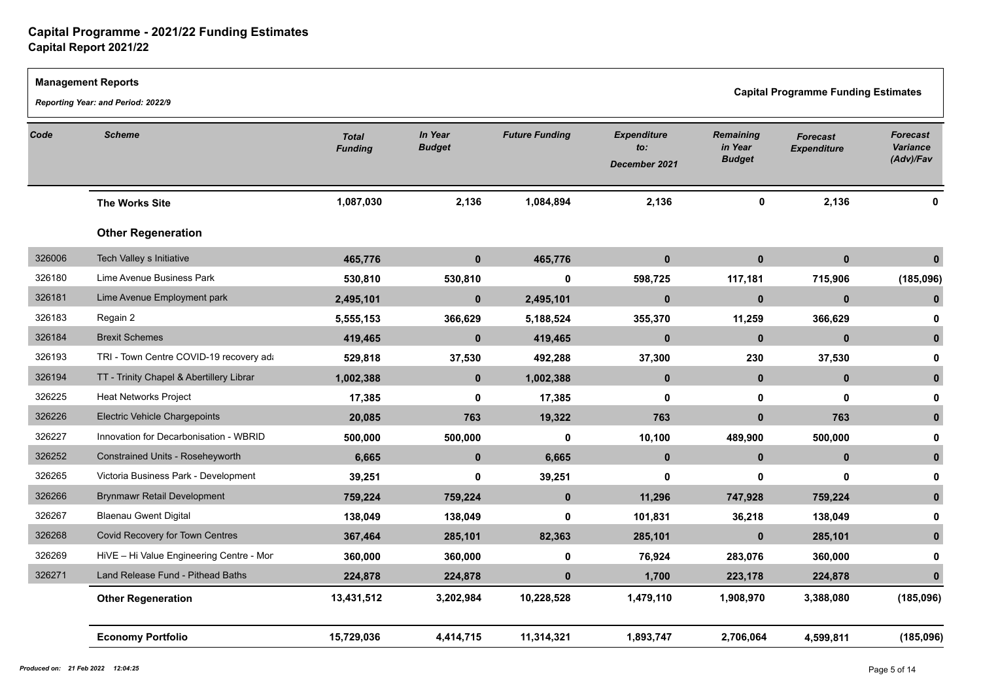|                       | <b>Management Reports</b><br>Reporting Year: and Period: 2022/9 |                                |                          |                       |                                            |                                              | <b>Capital Programme Funding Estimates</b> |                                          |
|-----------------------|-----------------------------------------------------------------|--------------------------------|--------------------------|-----------------------|--------------------------------------------|----------------------------------------------|--------------------------------------------|------------------------------------------|
| <b>Scheme</b><br>Code |                                                                 | <b>Total</b><br><b>Funding</b> | In Year<br><b>Budget</b> | <b>Future Funding</b> | <b>Expenditure</b><br>to:<br>December 2021 | <b>Remaining</b><br>in Year<br><b>Budget</b> | <b>Forecast</b><br><b>Expenditure</b>      | <b>Forecast</b><br>Variance<br>(Adv)/Fav |
|                       | <b>The Works Site</b>                                           | 1,087,030                      | 2,136                    | 1,084,894             | 2,136                                      | $\mathbf 0$                                  | 2,136                                      |                                          |
|                       | <b>Other Regeneration</b>                                       |                                |                          |                       |                                            |                                              |                                            |                                          |
| 326006                | Tech Valley s Initiative                                        | 465,776                        | $\mathbf{0}$             | 465,776               | $\mathbf{0}$                               | $\mathbf{0}$                                 | $\mathbf 0$                                |                                          |
| 326180                | Lime Avenue Business Park                                       | 530,810                        | 530,810                  | 0                     | 598,725                                    | 117,181                                      | 715,906                                    | (185,096)                                |
| 326181                | Lime Avenue Employment park                                     | 2,495,101                      | $\mathbf 0$              | 2,495,101             | $\mathbf 0$                                | $\mathbf{0}$                                 | $\mathbf 0$                                |                                          |
| 326183                | Regain 2                                                        | 5,555,153                      | 366,629                  | 5,188,524             | 355,370                                    | 11,259                                       | 366,629                                    |                                          |
| 326184                | <b>Brexit Schemes</b>                                           | 419,465                        | $\mathbf 0$              | 419,465               | $\mathbf 0$                                | $\mathbf{0}$                                 | $\mathbf 0$                                | $\mathbf{0}$                             |
| 326193                | TRI - Town Centre COVID-19 recovery ada                         | 529,818                        | 37,530                   | 492,288               | 37,300                                     | 230                                          | 37,530                                     | 0                                        |
| 326194                | TT - Trinity Chapel & Abertillery Librar                        | 1,002,388                      | $\mathbf 0$              | 1,002,388             | $\mathbf{0}$                               | $\mathbf{0}$                                 | $\mathbf 0$                                | $\mathbf{0}$                             |
| 326225                | <b>Heat Networks Project</b>                                    | 17,385                         | 0                        | 17,385                | 0                                          | 0                                            | $\mathbf 0$                                | 0                                        |
| 326226                | <b>Electric Vehicle Chargepoints</b>                            | 20,085                         | 763                      | 19,322                | 763                                        | $\mathbf{0}$                                 | 763                                        | $\bf{0}$                                 |
| 326227                | Innovation for Decarbonisation - WBRID                          | 500,000                        | 500,000                  | 0                     | 10,100                                     | 489,900                                      | 500,000                                    |                                          |
| 326252                | Constrained Units - Roseheyworth                                | 6,665                          | $\mathbf 0$              | 6,665                 | $\mathbf{0}$                               | $\mathbf{0}$                                 | $\mathbf{0}$                               | $\mathbf{0}$                             |
| 326265                | Victoria Business Park - Development                            | 39,251                         | $\mathbf 0$              | 39,251                | $\mathbf{0}$                               | 0                                            | $\mathbf 0$                                |                                          |
| 326266                | <b>Brynmawr Retail Development</b>                              | 759,224                        | 759,224                  | $\mathbf{0}$          | 11,296                                     | 747,928                                      | 759,224                                    | $\bf{0}$                                 |
| 326267                | <b>Blaenau Gwent Digital</b>                                    | 138,049                        | 138,049                  | 0                     | 101,831                                    | 36,218                                       | 138,049                                    | 0                                        |
| 326268                | Covid Recovery for Town Centres                                 | 367,464                        | 285,101                  | 82,363                | 285,101                                    | $\mathbf{0}$                                 | 285,101                                    |                                          |
| 326269                | HiVE - Hi Value Engineering Centre - Mon                        | 360,000                        | 360,000                  | 0                     | 76,924                                     | 283,076                                      | 360,000                                    |                                          |
| 326271                | Land Release Fund - Pithead Baths                               | 224,878                        | 224,878                  | $\mathbf 0$           | 1,700                                      | 223,178                                      | 224,878                                    |                                          |
|                       | <b>Other Regeneration</b>                                       | 13,431,512                     | 3,202,984                | 10,228,528            | 1,479,110                                  | 1,908,970                                    | 3,388,080                                  | (185,096)                                |
|                       | <b>Economy Portfolio</b>                                        | 15,729,036                     | 4,414,715                | 11,314,321            | 1,893,747                                  | 2,706,064                                    | 4,599,811                                  | (185,096)                                |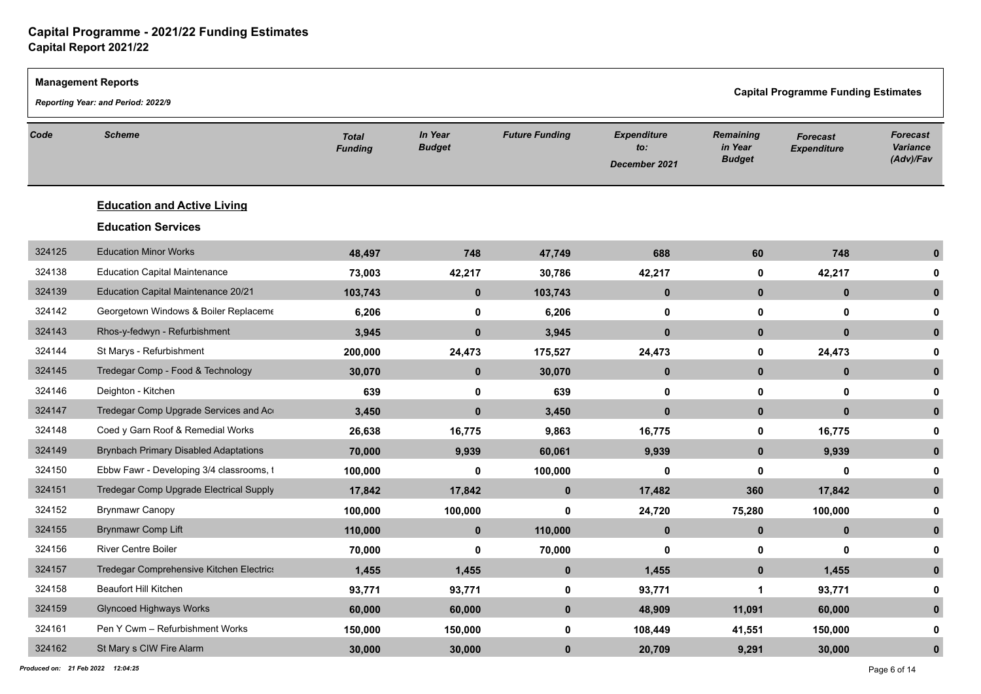|        | <b>Management Reports</b>                    |                                |                          |                       |                                            | <b>Capital Programme Funding Estimates</b>   |                                       |                                          |
|--------|----------------------------------------------|--------------------------------|--------------------------|-----------------------|--------------------------------------------|----------------------------------------------|---------------------------------------|------------------------------------------|
|        | Reporting Year: and Period: 2022/9           |                                |                          |                       |                                            |                                              |                                       |                                          |
| Code   | <b>Scheme</b>                                | <b>Total</b><br><b>Funding</b> | In Year<br><b>Budget</b> | <b>Future Funding</b> | <b>Expenditure</b><br>to:<br>December 2021 | <b>Remaining</b><br>in Year<br><b>Budget</b> | <b>Forecast</b><br><b>Expenditure</b> | Forecast<br><b>Variance</b><br>(Adv)/Fav |
|        | <b>Education and Active Living</b>           |                                |                          |                       |                                            |                                              |                                       |                                          |
|        | <b>Education Services</b>                    |                                |                          |                       |                                            |                                              |                                       |                                          |
| 324125 | <b>Education Minor Works</b>                 | 48,497                         | 748                      | 47,749                | 688                                        | 60                                           | 748                                   | $\mathbf{0}$                             |
| 324138 | <b>Education Capital Maintenance</b>         | 73,003                         | 42,217                   | 30,786                | 42,217                                     | 0                                            | 42,217                                |                                          |
| 324139 | Education Capital Maintenance 20/21          | 103,743                        | $\mathbf 0$              | 103,743               | $\mathbf 0$                                | $\mathbf{0}$                                 | $\mathbf 0$                           | $\mathbf{0}$                             |
| 324142 | Georgetown Windows & Boiler Replaceme        | 6,206                          | $\mathbf 0$              | 6,206                 | $\mathbf{0}$                               | $\mathbf 0$                                  | $\mathbf 0$                           | 0                                        |
| 324143 | Rhos-y-fedwyn - Refurbishment                | 3,945                          | $\mathbf{0}$             | 3,945                 | $\mathbf{0}$                               | $\mathbf{0}$                                 | $\mathbf{0}$                          | $\mathbf{0}$                             |
| 324144 | St Marys - Refurbishment                     | 200,000                        | 24,473                   | 175,527               | 24,473                                     | $\mathbf 0$                                  | 24,473                                | 0                                        |
| 324145 | Tredegar Comp - Food & Technology            | 30,070                         | $\mathbf 0$              | 30,070                | $\mathbf{0}$                               | $\mathbf 0$                                  | $\mathbf 0$                           | $\mathbf{0}$                             |
| 324146 | Deighton - Kitchen                           | 639                            | $\mathbf 0$              | 639                   | 0                                          | $\mathbf 0$                                  | $\mathbf 0$                           | 0                                        |
| 324147 | Tredegar Comp Upgrade Services and Ac        | 3,450                          | $\mathbf{0}$             | 3,450                 | $\mathbf{0}$                               | $\mathbf{0}$                                 | $\mathbf{0}$                          | $\mathbf{0}$                             |
| 324148 | Coed y Garn Roof & Remedial Works            | 26,638                         | 16,775                   | 9,863                 | 16,775                                     | $\mathbf 0$                                  | 16,775                                | <sup>0</sup>                             |
| 324149 | <b>Brynbach Primary Disabled Adaptations</b> | 70,000                         | 9,939                    | 60,061                | 9,939                                      | $\mathbf{0}$                                 | 9,939                                 | $\mathbf{0}$                             |
| 324150 | Ebbw Fawr - Developing 3/4 classrooms, t     | 100,000                        | $\mathbf 0$              | 100,000               | $\mathbf{0}$                               | $\mathbf 0$                                  | $\mathbf 0$                           | 0                                        |
| 324151 | Tredegar Comp Upgrade Electrical Supply      | 17,842                         | 17,842                   | $\mathbf{0}$          | 17,482                                     | 360                                          | 17,842                                | $\mathbf{0}$                             |
| 324152 | <b>Brynmawr Canopy</b>                       | 100,000                        | 100,000                  | $\mathbf 0$           | 24,720                                     | 75,280                                       | 100,000                               | 0                                        |
| 324155 | <b>Brynmawr Comp Lift</b>                    | 110,000                        | $\mathbf{0}$             | 110,000               | $\mathbf{0}$                               | $\mathbf 0$                                  | $\mathbf 0$                           | $\mathbf{0}$                             |
| 324156 | <b>River Centre Boiler</b>                   | 70,000                         | 0                        | 70,000                | 0                                          | 0                                            | $\mathbf 0$                           | o                                        |
| 324157 | Tredegar Comprehensive Kitchen Electrics     | 1,455                          | 1,455                    | $\pmb{0}$             | 1,455                                      | $\mathbf 0$                                  | 1,455                                 | $\mathbf{0}$                             |
| 324158 | <b>Beaufort Hill Kitchen</b>                 | 93,771                         | 93,771                   | $\mathbf 0$           | 93,771                                     | -1                                           | 93,771                                | 0                                        |
| 324159 | <b>Glyncoed Highways Works</b>               | 60,000                         | 60,000                   | $\mathbf 0$           | 48,909                                     | 11,091                                       | 60,000                                | $\bf{0}$                                 |
| 324161 | Pen Y Cwm - Refurbishment Works              | 150,000                        | 150,000                  | $\mathbf 0$           | 108,449                                    | 41,551                                       | 150,000                               | 0                                        |
| 324162 | St Mary s CIW Fire Alarm                     | 30,000                         | 30,000                   | $\bf{0}$              | 20,709                                     | 9,291                                        | 30,000                                | $\mathbf{0}$                             |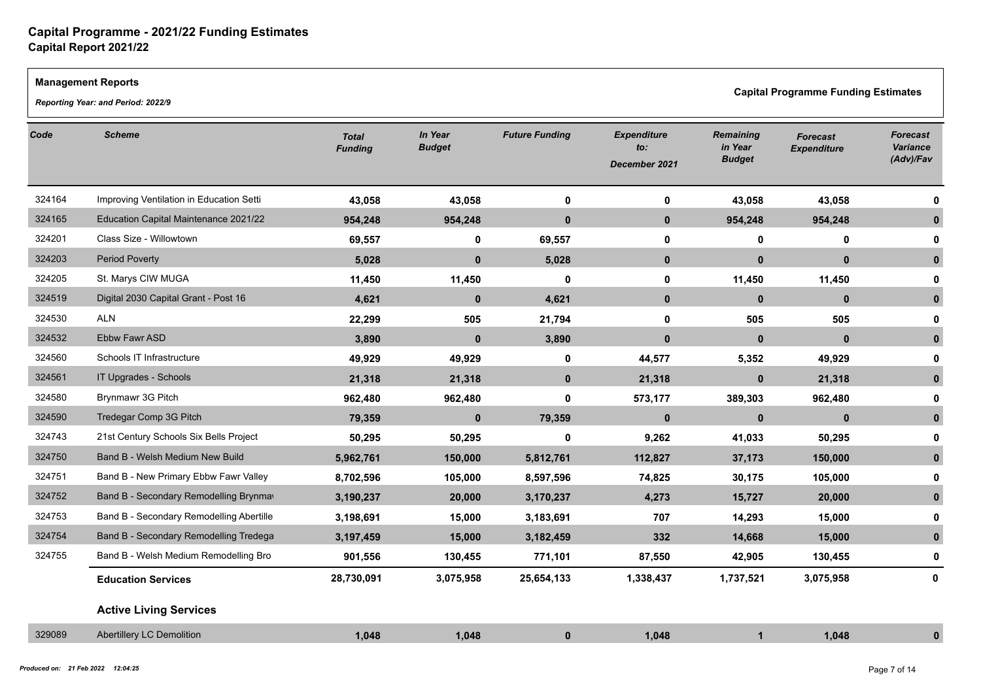### **Management Reports**

*Reporting Year: and Period: 2022/9*

**Capital Programme Funding Estimates** 

| Code   | <b>Scheme</b>                            | <b>Total</b><br><b>Funding</b> | In Year<br><b>Budget</b> | <b>Future Funding</b> | <b>Expenditure</b><br>to:<br>December 2021 | <b>Remaining</b><br>in Year<br><b>Budget</b> | <b>Forecast</b><br><b>Expenditure</b> | <b>Forecast</b><br>Variance<br>(Adv)/Fav |
|--------|------------------------------------------|--------------------------------|--------------------------|-----------------------|--------------------------------------------|----------------------------------------------|---------------------------------------|------------------------------------------|
| 324164 | Improving Ventilation in Education Setti | 43,058                         | 43,058                   | $\mathbf 0$           | 0                                          | 43,058                                       | 43,058                                |                                          |
| 324165 | Education Capital Maintenance 2021/22    | 954,248                        | 954,248                  | $\bf{0}$              | $\mathbf 0$                                | 954,248                                      | 954,248                               |                                          |
| 324201 | Class Size - Willowtown                  | 69,557                         | $\mathbf 0$              | 69,557                | $\mathbf 0$                                | $\mathbf 0$                                  | $\mathbf 0$                           |                                          |
| 324203 | <b>Period Poverty</b>                    | 5,028                          | $\mathbf{0}$             | 5,028                 | $\mathbf 0$                                | $\mathbf{0}$                                 | $\mathbf{0}$                          |                                          |
| 324205 | St. Marys CIW MUGA                       | 11,450                         | 11,450                   | 0                     | 0                                          | 11,450                                       | 11,450                                | o                                        |
| 324519 | Digital 2030 Capital Grant - Post 16     | 4,621                          | $\mathbf 0$              | 4,621                 | $\mathbf 0$                                | $\mathbf{0}$                                 | $\mathbf{0}$                          | 0                                        |
| 324530 | <b>ALN</b>                               | 22,299                         | 505                      | 21,794                | 0                                          | 505                                          | 505                                   |                                          |
| 324532 | Ebbw Fawr ASD                            | 3,890                          | $\mathbf{0}$             | 3,890                 | $\mathbf{0}$                               | $\mathbf{0}$                                 | $\mathbf{0}$                          |                                          |
| 324560 | Schools IT Infrastructure                | 49,929                         | 49,929                   | $\mathbf 0$           | 44,577                                     | 5,352                                        | 49,929                                |                                          |
| 324561 | IT Upgrades - Schools                    | 21,318                         | 21,318                   | $\mathbf 0$           | 21,318                                     | $\mathbf{0}$                                 | 21,318                                |                                          |
| 324580 | Brynmawr 3G Pitch                        | 962,480                        | 962,480                  | 0                     | 573,177                                    | 389,303                                      | 962,480                               |                                          |
| 324590 | Tredegar Comp 3G Pitch                   | 79,359                         | $\bf{0}$                 | 79,359                | $\mathbf 0$                                | $\mathbf 0$                                  | $\mathbf{0}$                          | $\bf{0}$                                 |
| 324743 | 21st Century Schools Six Bells Project   | 50,295                         | 50,295                   | 0                     | 9,262                                      | 41,033                                       | 50,295                                |                                          |
| 324750 | Band B - Welsh Medium New Build          | 5,962,761                      | 150,000                  | 5,812,761             | 112,827                                    | 37,173                                       | 150,000                               |                                          |
| 324751 | Band B - New Primary Ebbw Fawr Valley    | 8,702,596                      | 105,000                  | 8,597,596             | 74,825                                     | 30,175                                       | 105,000                               |                                          |
| 324752 | Band B - Secondary Remodelling Brynmay   | 3,190,237                      | 20,000                   | 3,170,237             | 4,273                                      | 15,727                                       | 20,000                                |                                          |
| 324753 | Band B - Secondary Remodelling Abertille | 3,198,691                      | 15,000                   | 3,183,691             | 707                                        | 14,293                                       | 15,000                                |                                          |
| 324754 | Band B - Secondary Remodelling Tredega   | 3,197,459                      | 15,000                   | 3,182,459             | 332                                        | 14,668                                       | 15,000                                | $\bf{0}$                                 |
| 324755 | Band B - Welsh Medium Remodelling Bro    | 901,556                        | 130,455                  | 771,101               | 87,550                                     | 42,905                                       | 130,455                               | 0                                        |
|        | <b>Education Services</b>                | 28,730,091                     | 3,075,958                | 25,654,133            | 1,338,437                                  | 1,737,521                                    | 3,075,958                             | 0                                        |
|        | <b>Active Living Services</b>            |                                |                          |                       |                                            |                                              |                                       |                                          |
| 329089 | <b>Abertillery LC Demolition</b>         | 1,048                          | 1,048                    | $\mathbf 0$           | 1,048                                      | $\blacktriangleleft$                         | 1,048                                 |                                          |
|        |                                          |                                |                          |                       |                                            |                                              |                                       |                                          |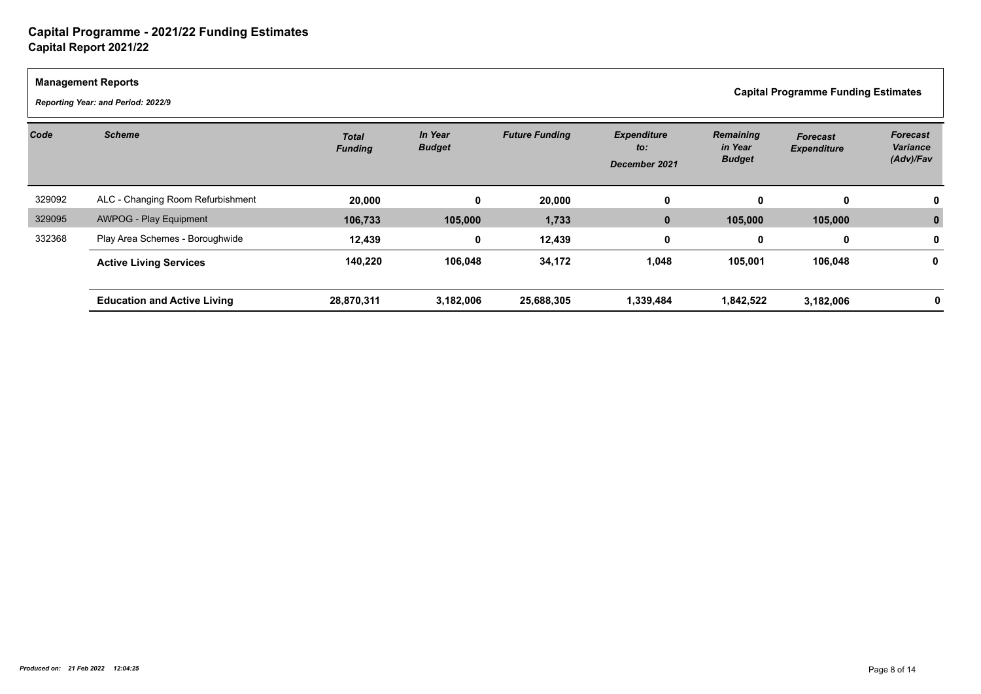$\Gamma$ 

|        | <b>Management Reports</b><br><b>Capital Programme Funding Estimates</b><br>Reporting Year: and Period: 2022/9 |                                |                          |                       |                                            |                                       |                                       |                                          |  |  |  |  |
|--------|---------------------------------------------------------------------------------------------------------------|--------------------------------|--------------------------|-----------------------|--------------------------------------------|---------------------------------------|---------------------------------------|------------------------------------------|--|--|--|--|
| Code   | <b>Scheme</b>                                                                                                 | <b>Total</b><br><b>Funding</b> | In Year<br><b>Budget</b> | <b>Future Funding</b> | <b>Expenditure</b><br>to:<br>December 2021 | Remaining<br>in Year<br><b>Budget</b> | <b>Forecast</b><br><b>Expenditure</b> | <b>Forecast</b><br>Variance<br>(Adv)/Fav |  |  |  |  |
| 329092 | ALC - Changing Room Refurbishment                                                                             | 20,000                         | 0                        | 20,000                | 0                                          | $\bf{0}$                              | $\bf{0}$                              |                                          |  |  |  |  |
| 329095 | <b>AWPOG - Play Equipment</b>                                                                                 | 106,733                        | 105,000                  | 1,733                 | $\mathbf{0}$                               | 105,000                               | 105,000                               |                                          |  |  |  |  |
| 332368 | Play Area Schemes - Boroughwide                                                                               | 12,439                         | 0                        | 12,439                | $\mathbf 0$                                | $\mathbf 0$                           | 0                                     |                                          |  |  |  |  |
|        | <b>Active Living Services</b>                                                                                 | 140,220                        | 106,048                  | 34,172                | 1,048                                      | 105,001                               | 106,048                               | 0                                        |  |  |  |  |
|        | <b>Education and Active Living</b>                                                                            | 28,870,311                     | 3,182,006                | 25,688,305            | 1,339,484                                  | 1,842,522                             | 3,182,006                             |                                          |  |  |  |  |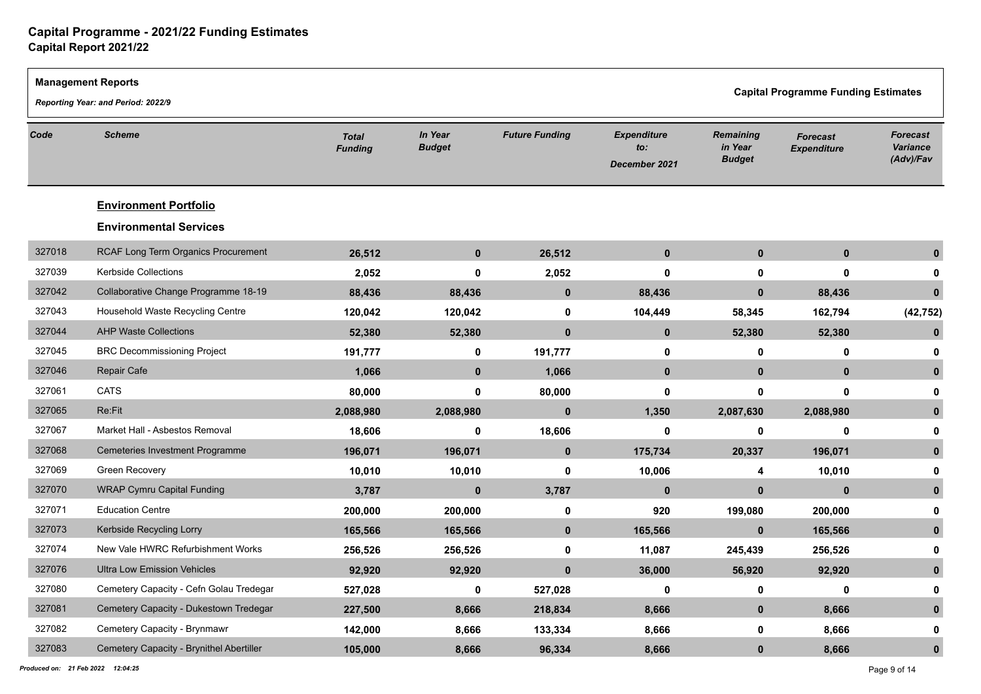|        | <b>Management Reports</b>                |                                |                          |                       | <b>Capital Programme Funding Estimates</b> |                                              |                                       |                                                 |  |  |  |
|--------|------------------------------------------|--------------------------------|--------------------------|-----------------------|--------------------------------------------|----------------------------------------------|---------------------------------------|-------------------------------------------------|--|--|--|
|        | Reporting Year: and Period: 2022/9       |                                |                          |                       |                                            |                                              |                                       |                                                 |  |  |  |
| Code   | <b>Scheme</b>                            | <b>Total</b><br><b>Funding</b> | In Year<br><b>Budget</b> | <b>Future Funding</b> | <b>Expenditure</b><br>to:<br>December 2021 | <b>Remaining</b><br>in Year<br><b>Budget</b> | <b>Forecast</b><br><b>Expenditure</b> | <b>Forecast</b><br><b>Variance</b><br>(Adv)/Fav |  |  |  |
|        | <b>Environment Portfolio</b>             |                                |                          |                       |                                            |                                              |                                       |                                                 |  |  |  |
|        | <b>Environmental Services</b>            |                                |                          |                       |                                            |                                              |                                       |                                                 |  |  |  |
| 327018 | RCAF Long Term Organics Procurement      | 26,512                         | $\mathbf 0$              | 26,512                | $\mathbf{0}$                               | $\mathbf{0}$                                 | $\mathbf 0$                           | $\mathbf{0}$                                    |  |  |  |
| 327039 | Kerbside Collections                     | 2,052                          | $\bf{0}$                 | 2,052                 | 0                                          | 0                                            | $\mathbf 0$                           | 0                                               |  |  |  |
| 327042 | Collaborative Change Programme 18-19     | 88,436                         | 88,436                   | $\mathbf 0$           | 88,436                                     | $\mathbf 0$                                  | 88,436                                | $\mathbf{0}$                                    |  |  |  |
| 327043 | Household Waste Recycling Centre         | 120,042                        | 120,042                  | $\mathbf 0$           | 104,449                                    | 58,345                                       | 162,794                               | (42, 752)                                       |  |  |  |
| 327044 | <b>AHP Waste Collections</b>             | 52,380                         | 52,380                   | $\mathbf{0}$          | $\mathbf{0}$                               | 52,380                                       | 52,380                                |                                                 |  |  |  |
| 327045 | <b>BRC Decommissioning Project</b>       | 191,777                        | $\mathbf 0$              | 191,777               | $\mathbf 0$                                | 0                                            | 0                                     | 0                                               |  |  |  |
| 327046 | Repair Cafe                              | 1,066                          | $\bf{0}$                 | 1,066                 | $\mathbf{0}$                               | $\mathbf{0}$                                 | $\mathbf{0}$                          | $\mathbf{0}$                                    |  |  |  |
| 327061 | <b>CATS</b>                              | 80,000                         | $\mathbf 0$              | 80,000                | 0                                          | 0                                            | $\mathbf 0$                           | 0                                               |  |  |  |
| 327065 | Re:Fit                                   | 2,088,980                      | 2,088,980                | $\mathbf 0$           | 1,350                                      | 2,087,630                                    | 2,088,980                             | $\mathbf{0}$                                    |  |  |  |
| 327067 | Market Hall - Asbestos Removal           | 18,606                         | $\mathbf 0$              | 18,606                | 0                                          | 0                                            | $\mathbf 0$                           | 0                                               |  |  |  |
| 327068 | <b>Cemeteries Investment Programme</b>   | 196,071                        | 196,071                  | $\mathbf{0}$          | 175,734                                    | 20,337                                       | 196,071                               | $\mathbf{0}$                                    |  |  |  |
| 327069 | Green Recovery                           | 10,010                         | 10,010                   | $\mathbf 0$           | 10,006                                     | 4                                            | 10,010                                | 0                                               |  |  |  |
| 327070 | <b>WRAP Cymru Capital Funding</b>        | 3,787                          | $\mathbf{0}$             | 3,787                 | $\mathbf{0}$                               | $\mathbf{0}$                                 | $\mathbf{0}$                          | $\mathbf{0}$                                    |  |  |  |
| 327071 | <b>Education Centre</b>                  | 200,000                        | 200,000                  | $\mathbf 0$           | 920                                        | 199,080                                      | 200,000                               | 0                                               |  |  |  |
| 327073 | Kerbside Recycling Lorry                 | 165,566                        | 165,566                  | $\mathbf 0$           | 165,566                                    | $\mathbf{0}$                                 | 165,566                               | $\bf{0}$                                        |  |  |  |
| 327074 | New Vale HWRC Refurbishment Works        | 256,526                        | 256,526                  | 0                     | 11,087                                     | 245,439                                      | 256,526                               | <sup>0</sup>                                    |  |  |  |
| 327076 | <b>Ultra Low Emission Vehicles</b>       | 92,920                         | 92,920                   | $\mathbf 0$           | 36,000                                     | 56,920                                       | 92,920                                | $\bf{0}$                                        |  |  |  |
| 327080 | Cemetery Capacity - Cefn Golau Tredegar  | 527,028                        | $\bf{0}$                 | 527,028               | 0                                          | $\mathbf 0$                                  | $\mathbf 0$                           | 0                                               |  |  |  |
| 327081 | Cemetery Capacity - Dukestown Tredegar   | 227,500                        | 8,666                    | 218,834               | 8,666                                      | $\mathbf{0}$                                 | 8,666                                 | $\bf{0}$                                        |  |  |  |
| 327082 | Cemetery Capacity - Brynmawr             | 142,000                        | 8,666                    | 133,334               | 8,666                                      | $\mathbf 0$                                  | 8,666                                 | 0                                               |  |  |  |
| 327083 | Cemetery Capacity - Brynithel Abertiller | 105,000                        | 8,666                    | 96,334                | 8,666                                      | $\mathbf{0}$                                 | 8,666                                 | $\mathbf{0}$                                    |  |  |  |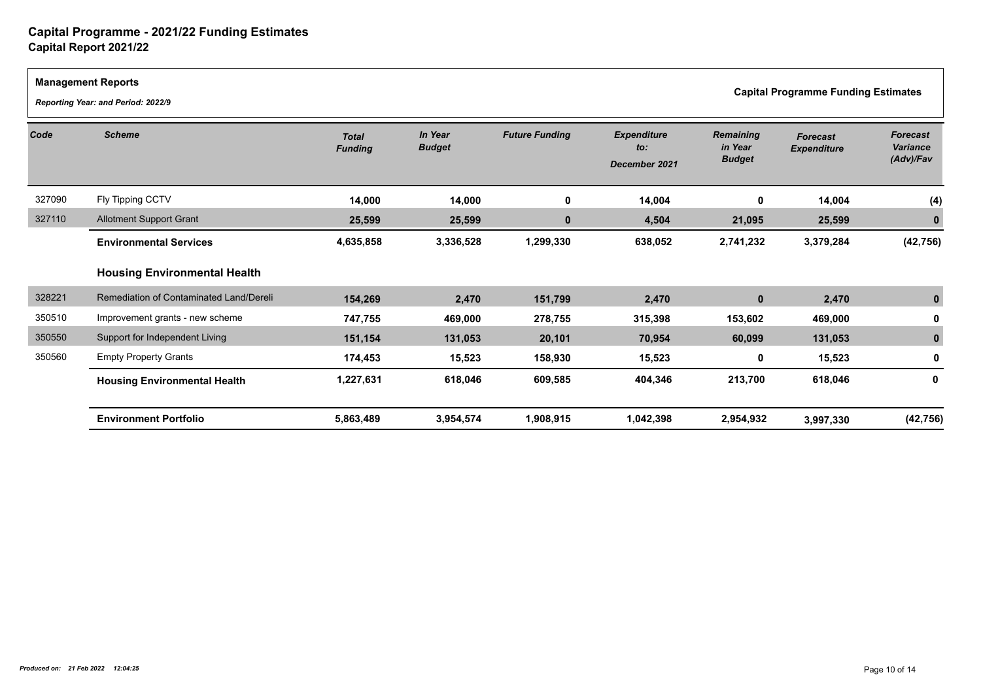|        | <b>Management Reports</b><br>Reporting Year: and Period: 2022/9 |                                |                          |                       |                                            |                                              | <b>Capital Programme Funding Estimates</b> |                                                 |
|--------|-----------------------------------------------------------------|--------------------------------|--------------------------|-----------------------|--------------------------------------------|----------------------------------------------|--------------------------------------------|-------------------------------------------------|
| Code   | <b>Scheme</b>                                                   | <b>Total</b><br><b>Funding</b> | In Year<br><b>Budget</b> | <b>Future Funding</b> | <b>Expenditure</b><br>to:<br>December 2021 | <b>Remaining</b><br>in Year<br><b>Budget</b> | <b>Forecast</b><br><b>Expenditure</b>      | <b>Forecast</b><br><b>Variance</b><br>(Adv)/Fav |
| 327090 | Fly Tipping CCTV                                                | 14,000                         | 14,000                   | 0                     | 14,004                                     | 0                                            | 14,004                                     | (4)                                             |
| 327110 | <b>Allotment Support Grant</b>                                  | 25,599                         | 25,599                   | $\bf{0}$              | 4,504                                      | 21,095                                       | 25,599                                     |                                                 |
|        | <b>Environmental Services</b>                                   | 4,635,858                      | 3,336,528                | 1,299,330             | 638,052                                    | 2,741,232                                    | 3,379,284                                  | (42, 756)                                       |
|        | <b>Housing Environmental Health</b>                             |                                |                          |                       |                                            |                                              |                                            |                                                 |
| 328221 | Remediation of Contaminated Land/Dereli                         | 154,269                        | 2,470                    | 151,799               | 2,470                                      | $\mathbf 0$                                  | 2,470                                      |                                                 |
| 350510 | Improvement grants - new scheme                                 | 747,755                        | 469,000                  | 278,755               | 315,398                                    | 153,602                                      | 469,000                                    |                                                 |
| 350550 | Support for Independent Living                                  | 151,154                        | 131,053                  | 20,101                | 70,954                                     | 60,099                                       | 131,053                                    |                                                 |
| 350560 | <b>Empty Property Grants</b>                                    | 174,453                        | 15,523                   | 158,930               | 15,523                                     | 0                                            | 15,523                                     |                                                 |
|        | <b>Housing Environmental Health</b>                             | 1,227,631                      | 618,046                  | 609,585               | 404,346                                    | 213,700                                      | 618,046                                    | 0                                               |
|        | <b>Environment Portfolio</b>                                    | 5,863,489                      | 3,954,574                | 1,908,915             | 1,042,398                                  | 2,954,932                                    | 3,997,330                                  | (42, 756)                                       |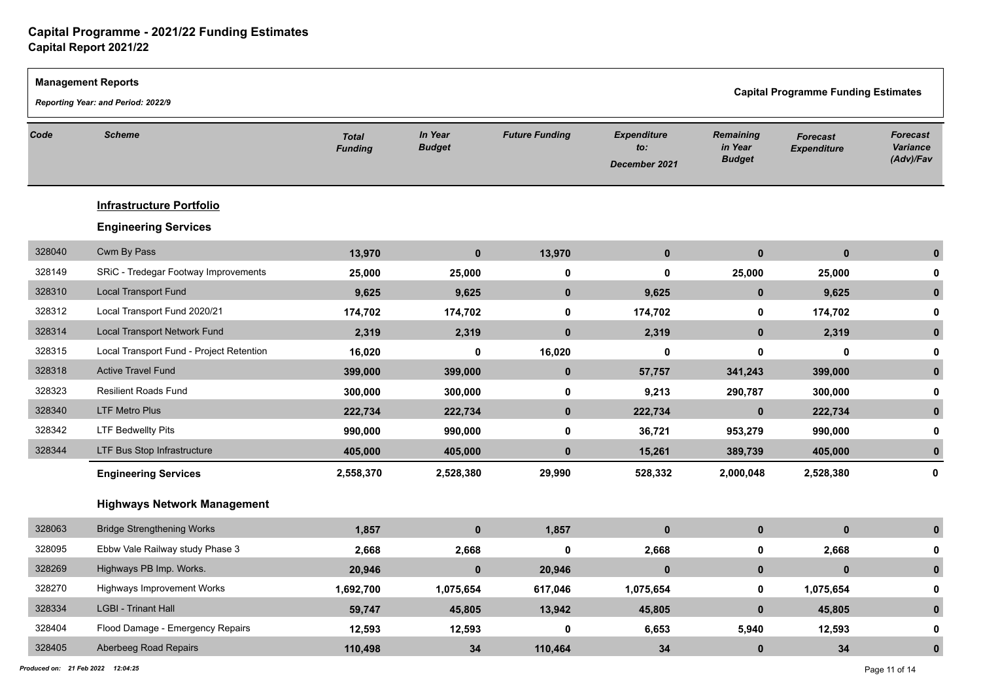|        | <b>Management Reports</b><br>Reporting Year: and Period: 2022/9 |                                |                          |                       |                                            | <b>Capital Programme Funding Estimates</b>   |                                       |                                                 |
|--------|-----------------------------------------------------------------|--------------------------------|--------------------------|-----------------------|--------------------------------------------|----------------------------------------------|---------------------------------------|-------------------------------------------------|
| Code   | <b>Scheme</b>                                                   | <b>Total</b><br><b>Funding</b> | In Year<br><b>Budget</b> | <b>Future Funding</b> | <b>Expenditure</b><br>to:<br>December 2021 | <b>Remaining</b><br>in Year<br><b>Budget</b> | <b>Forecast</b><br><b>Expenditure</b> | <b>Forecast</b><br><b>Variance</b><br>(Adv)/Fav |
|        | <b>Infrastructure Portfolio</b><br><b>Engineering Services</b>  |                                |                          |                       |                                            |                                              |                                       |                                                 |
| 328040 | Cwm By Pass                                                     | 13,970                         | $\mathbf 0$              | 13,970                | $\mathbf 0$                                | $\mathbf 0$                                  | $\mathbf 0$                           | $\mathbf{0}$                                    |
| 328149 | SRiC - Tredegar Footway Improvements                            | 25,000                         | 25,000                   | $\pmb{0}$             | $\mathbf 0$                                | 25,000                                       | 25,000                                | 0                                               |
| 328310 | <b>Local Transport Fund</b>                                     | 9,625                          | 9,625                    | $\mathbf 0$           | 9,625                                      | $\mathbf{0}$                                 | 9,625                                 | $\mathbf{0}$                                    |
| 328312 | Local Transport Fund 2020/21                                    | 174,702                        | 174,702                  | $\mathbf 0$           | 174,702                                    | $\mathbf 0$                                  | 174,702                               | 0                                               |
| 328314 | Local Transport Network Fund                                    | 2,319                          | 2,319                    | $\mathbf 0$           | 2,319                                      | $\mathbf 0$                                  | 2,319                                 | $\mathbf{0}$                                    |
| 328315 | Local Transport Fund - Project Retention                        | 16,020                         | $\mathbf 0$              | 16,020                | 0                                          | 0                                            | $\mathbf 0$                           | 0                                               |
| 328318 | <b>Active Travel Fund</b>                                       | 399,000                        | 399,000                  | $\mathbf 0$           | 57,757                                     | 341,243                                      | 399,000                               | $\mathbf{0}$                                    |
| 328323 | <b>Resilient Roads Fund</b>                                     | 300,000                        | 300,000                  | $\mathbf 0$           | 9,213                                      | 290,787                                      | 300,000                               | 0                                               |
| 328340 | <b>LTF Metro Plus</b>                                           | 222,734                        | 222,734                  | $\mathbf{0}$          | 222,734                                    | $\mathbf{0}$                                 | 222,734                               | $\mathbf 0$                                     |
| 328342 | <b>LTF Bedwellty Pits</b>                                       | 990,000                        | 990,000                  | $\mathbf 0$           | 36,721                                     | 953,279                                      | 990,000                               | 0                                               |
| 328344 | LTF Bus Stop Infrastructure                                     | 405,000                        | 405,000                  | $\mathbf{0}$          | 15,261                                     | 389,739                                      | 405,000                               | $\mathbf{0}$                                    |
|        | <b>Engineering Services</b>                                     | 2,558,370                      | 2,528,380                | 29,990                | 528,332                                    | 2,000,048                                    | 2,528,380                             | 0                                               |
|        | <b>Highways Network Management</b>                              |                                |                          |                       |                                            |                                              |                                       |                                                 |
| 328063 | <b>Bridge Strengthening Works</b>                               | 1,857                          | $\mathbf{0}$             | 1,857                 | $\mathbf{0}$                               | $\mathbf{0}$                                 | $\mathbf{0}$                          | $\mathbf{0}$                                    |
| 328095 | Ebbw Vale Railway study Phase 3                                 | 2,668                          | 2,668                    | $\mathbf 0$           | 2,668                                      | 0                                            | 2,668                                 | 0                                               |
| 328269 | Highways PB Imp. Works.                                         | 20,946                         | $\pmb{0}$                | 20,946                | $\mathbf{0}$                               | $\mathbf 0$                                  | $\pmb{0}$                             | $\mathbf{0}$                                    |
| 328270 | <b>Highways Improvement Works</b>                               | 1,692,700                      | 1,075,654                | 617,046               | 1,075,654                                  | $\mathbf 0$                                  | 1,075,654                             | 0                                               |
| 328334 | <b>LGBI - Trinant Hall</b>                                      | 59,747                         | 45,805                   | 13,942                | 45,805                                     | $\mathbf{0}$                                 | 45,805                                | $\bf{0}$                                        |
| 328404 | Flood Damage - Emergency Repairs                                | 12,593                         | 12,593                   | $\mathbf 0$           | 6,653                                      | 5,940                                        | 12,593                                | 0                                               |
| 328405 | Aberbeeg Road Repairs                                           | 110,498                        | 34                       | 110,464               | 34                                         | $\mathbf{0}$                                 | 34                                    | $\mathbf{0}$                                    |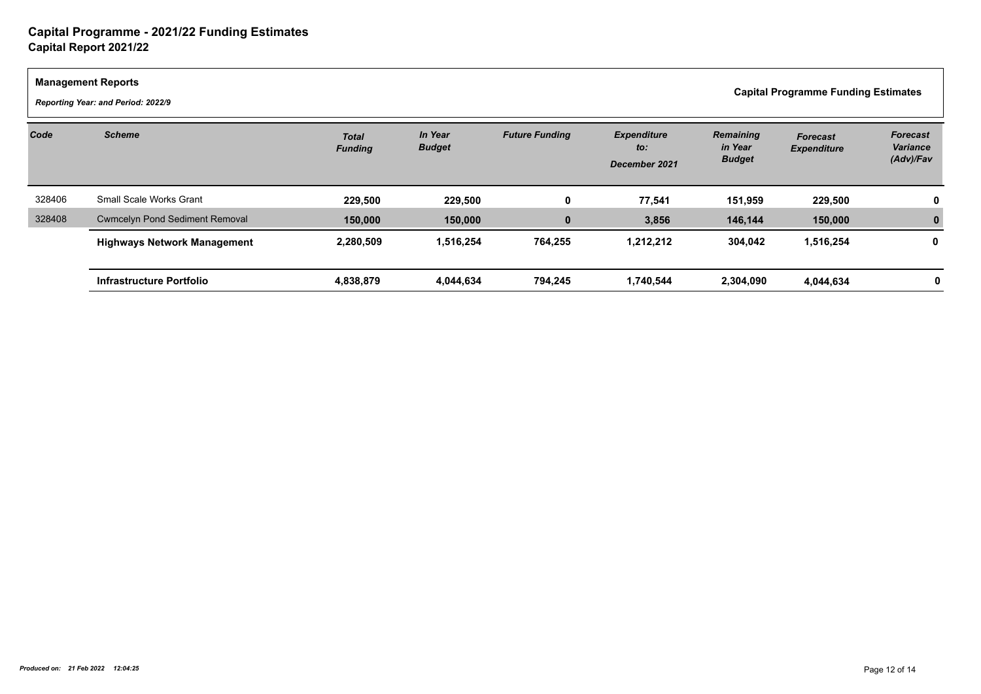| <b>Management Reports</b><br><b>Capital Programme Funding Estimates</b><br>Reporting Year: and Period: 2022/9 |                                       |                                |                                 |                       |                                            |                                              |                                       |                                          |
|---------------------------------------------------------------------------------------------------------------|---------------------------------------|--------------------------------|---------------------------------|-----------------------|--------------------------------------------|----------------------------------------------|---------------------------------------|------------------------------------------|
| Code                                                                                                          | <b>Scheme</b>                         | <b>Total</b><br><b>Funding</b> | <b>In Year</b><br><b>Budget</b> | <b>Future Funding</b> | <b>Expenditure</b><br>to:<br>December 2021 | <b>Remaining</b><br>in Year<br><b>Budget</b> | <b>Forecast</b><br><b>Expenditure</b> | <b>Forecast</b><br>Variance<br>(Adv)/Fav |
| 328406                                                                                                        | <b>Small Scale Works Grant</b>        | 229,500                        | 229,500                         | 0                     | 77,541                                     | 151,959                                      | 229,500                               |                                          |
| 328408                                                                                                        | <b>Cwmcelyn Pond Sediment Removal</b> | 150,000                        | 150,000                         | $\mathbf{0}$          | 3,856                                      | 146,144                                      | 150,000                               |                                          |
|                                                                                                               | <b>Highways Network Management</b>    | 2,280,509                      | 1,516,254                       | 764,255               | 1,212,212                                  | 304,042                                      | 1,516,254                             | 0                                        |
|                                                                                                               | Infrastructure Portfolio              | 4,838,879                      | 4,044,634                       | 794,245               | 1,740,544                                  | 2,304,090                                    | 4,044,634                             |                                          |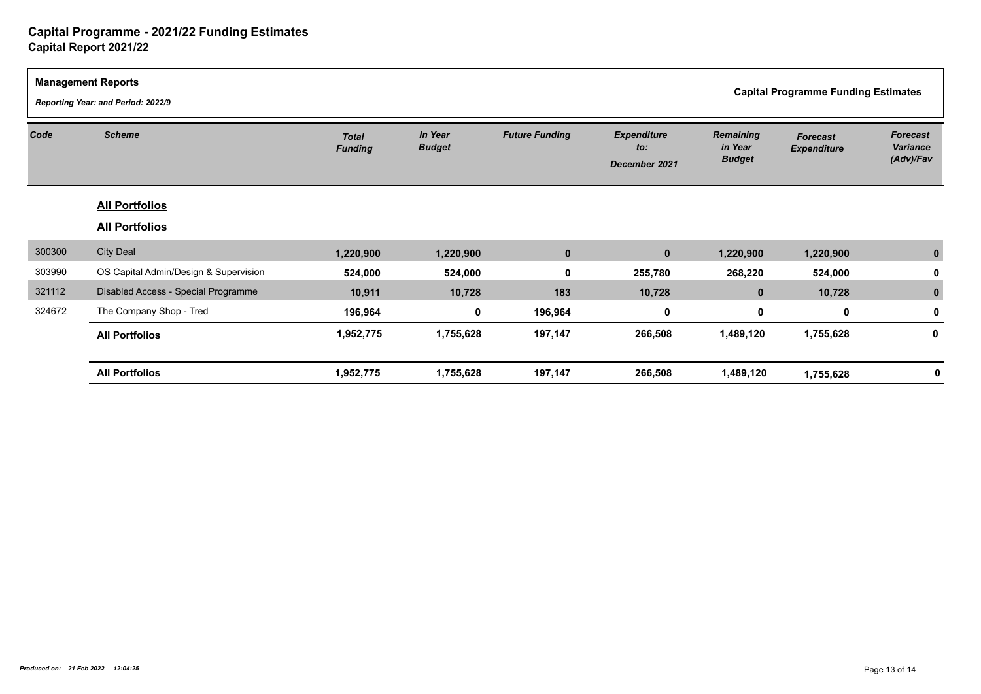| <b>Management Reports</b><br><b>Capital Programme Funding Estimates</b><br>Reporting Year: and Period: 2022/9 |                                       |                                |                          |                       |                                            |                                              |                                       |                                          |
|---------------------------------------------------------------------------------------------------------------|---------------------------------------|--------------------------------|--------------------------|-----------------------|--------------------------------------------|----------------------------------------------|---------------------------------------|------------------------------------------|
| Code                                                                                                          | <b>Scheme</b>                         | <b>Total</b><br><b>Funding</b> | In Year<br><b>Budget</b> | <b>Future Funding</b> | <b>Expenditure</b><br>to:<br>December 2021 | <b>Remaining</b><br>in Year<br><b>Budget</b> | <b>Forecast</b><br><b>Expenditure</b> | <b>Forecast</b><br>Variance<br>(Adv)/Fav |
|                                                                                                               | <b>All Portfolios</b>                 |                                |                          |                       |                                            |                                              |                                       |                                          |
|                                                                                                               | <b>All Portfolios</b>                 |                                |                          |                       |                                            |                                              |                                       |                                          |
| 300300                                                                                                        | <b>City Deal</b>                      | 1,220,900                      | 1,220,900                | $\mathbf 0$           | $\mathbf 0$                                | 1,220,900                                    | 1,220,900                             |                                          |
| 303990                                                                                                        | OS Capital Admin/Design & Supervision | 524,000                        | 524,000                  | $\mathbf 0$           | 255,780                                    | 268,220                                      | 524,000                               |                                          |
| 321112                                                                                                        | Disabled Access - Special Programme   | 10,911                         | 10,728                   | 183                   | 10,728                                     | $\mathbf{0}$                                 | 10,728                                |                                          |
| 324672                                                                                                        | The Company Shop - Tred               | 196,964                        | $\mathbf 0$              | 196,964               | 0                                          | $\mathbf 0$                                  | $\mathbf 0$                           |                                          |
|                                                                                                               | <b>All Portfolios</b>                 | 1,952,775                      | 1,755,628                | 197,147               | 266,508                                    | 1,489,120                                    | 1,755,628                             | 0                                        |
|                                                                                                               | <b>All Portfolios</b>                 | 1,952,775                      | 1,755,628                | 197,147               | 266,508                                    | 1,489,120                                    | 1,755,628                             |                                          |